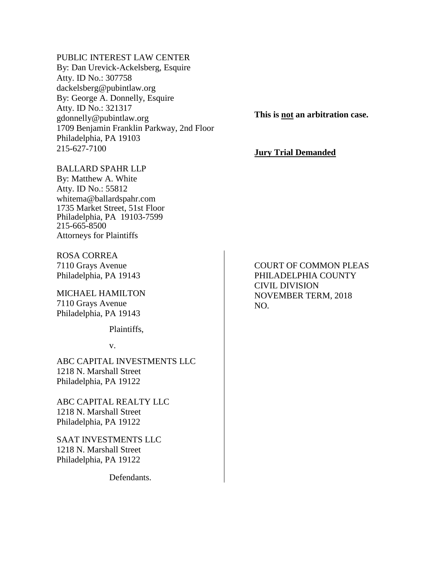## PUBLIC INTEREST LAW CENTER

By: Dan Urevick-Ackelsberg, Esquire Atty. ID No.: 307758 dackelsberg@pubintlaw.org By: George A. Donnelly, Esquire Atty. ID No.: 321317 gdonnelly@pubintlaw.org 1709 Benjamin Franklin Parkway, 2nd Floor Philadelphia, PA 19103 215-627-7100

**This is not an arbitration case.**

## **Jury Trial Demanded**

# BALLARD SPAHR LLP By: Matthew A. White

Atty. ID No.: 55812 whitema@ballardspahr.com 1735 Market Street, 51st Floor Philadelphia, PA 19103-7599 215-665-8500 Attorneys for Plaintiffs

ROSA CORREA 7110 Grays Avenue Philadelphia, PA 19143

MICHAEL HAMILTON 7110 Grays Avenue Philadelphia, PA 19143

Plaintiffs,

v.

ABC CAPITAL INVESTMENTS LLC 1218 N. Marshall Street Philadelphia, PA 19122

ABC CAPITAL REALTY LLC 1218 N. Marshall Street Philadelphia, PA 19122

SAAT INVESTMENTS LLC 1218 N. Marshall Street Philadelphia, PA 19122

Defendants.

COURT OF COMMON PLEAS PHILADELPHIA COUNTY CIVIL DIVISION NOVEMBER TERM, 2018 NO.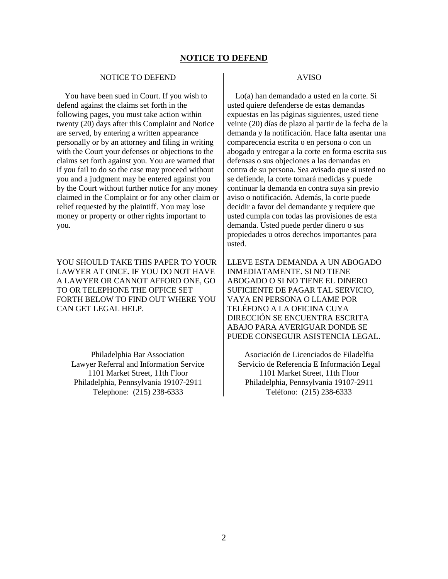#### **NOTICE TO DEFEND**

#### NOTICE TO DEFEND

 You have been sued in Court. If you wish to defend against the claims set forth in the following pages, you must take action within twenty (20) days after this Complaint and Notice are served, by entering a written appearance personally or by an attorney and filing in writing with the Court your defenses or objections to the claims set forth against you. You are warned that if you fail to do so the case may proceed without you and a judgment may be entered against you by the Court without further notice for any money claimed in the Complaint or for any other claim or relief requested by the plaintiff. You may lose money or property or other rights important to you.

YOU SHOULD TAKE THIS PAPER TO YOUR LAWYER AT ONCE. IF YOU DO NOT HAVE A LAWYER OR CANNOT AFFORD ONE, GO TO OR TELEPHONE THE OFFICE SET FORTH BELOW TO FIND OUT WHERE YOU CAN GET LEGAL HELP.

Philadelphia Bar Association Lawyer Referral and Information Service 1101 Market Street, 11th Floor Philadelphia, Pennsylvania 19107-2911 Telephone: (215) 238-6333

#### AVISO

 Lo(a) han demandado a usted en la corte. Si usted quiere defenderse de estas demandas expuestas en las páginas siguientes, usted tiene veinte (20) días de plazo al partir de la fecha de la demanda y la notificación. Hace falta asentar una comparecencia escrita o en persona o con un abogado y entregar a la corte en forma escrita sus defensas o sus objeciones a las demandas en contra de su persona. Sea avisado que si usted no se defiende, la corte tomará medidas y puede continuar la demanda en contra suya sin previo aviso o notificación. Además, la corte puede decidir a favor del demandante y requiere que usted cumpla con todas las provisiones de esta demanda. Usted puede perder dinero o sus propiedades u otros derechos importantes para usted.

LLEVE ESTA DEMANDA A UN ABOGADO INMEDIATAMENTE. SI NO TIENE ABOGADO O SI NO TIENE EL DINERO SUFICIENTE DE PAGAR TAL SERVICIO, VAYA EN PERSONA O LLAME POR TELÉFONO A LA OFICINA CUYA DIRECCIÓN SE ENCUENTRA ESCRITA ABAJO PARA AVERIGUAR DONDE SE PUEDE CONSEGUIR ASISTENCIA LEGAL.

Asociación de Licenciados de Filadelfia Servicio de Referencia E Información Legal 1101 Market Street, 11th Floor Philadelphia, Pennsylvania 19107-2911 Teléfono: (215) 238-6333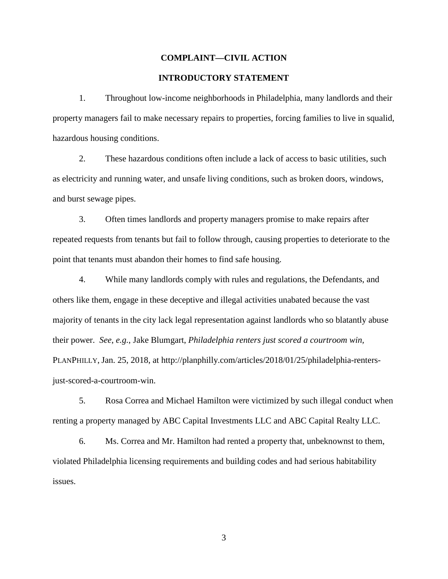# **COMPLAINT—CIVIL ACTION**

# **INTRODUCTORY STATEMENT**

1. Throughout low-income neighborhoods in Philadelphia, many landlords and their property managers fail to make necessary repairs to properties, forcing families to live in squalid, hazardous housing conditions.

2. These hazardous conditions often include a lack of access to basic utilities, such as electricity and running water, and unsafe living conditions, such as broken doors, windows, and burst sewage pipes.

3. Often times landlords and property managers promise to make repairs after repeated requests from tenants but fail to follow through, causing properties to deteriorate to the point that tenants must abandon their homes to find safe housing.

4. While many landlords comply with rules and regulations, the Defendants, and others like them, engage in these deceptive and illegal activities unabated because the vast majority of tenants in the city lack legal representation against landlords who so blatantly abuse their power. *See*, *e.g.*, Jake Blumgart, *Philadelphia renters just scored a courtroom win,* PLANPHILLY, Jan. 25, 2018, at http://planphilly.com/articles/2018/01/25/philadelphia-rentersjust-scored-a-courtroom-win.

5. Rosa Correa and Michael Hamilton were victimized by such illegal conduct when renting a property managed by ABC Capital Investments LLC and ABC Capital Realty LLC.

6. Ms. Correa and Mr. Hamilton had rented a property that, unbeknownst to them, violated Philadelphia licensing requirements and building codes and had serious habitability issues.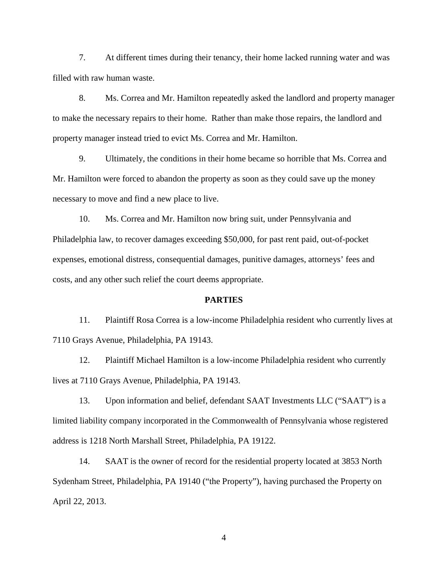7. At different times during their tenancy, their home lacked running water and was filled with raw human waste.

8. Ms. Correa and Mr. Hamilton repeatedly asked the landlord and property manager to make the necessary repairs to their home. Rather than make those repairs, the landlord and property manager instead tried to evict Ms. Correa and Mr. Hamilton.

9. Ultimately, the conditions in their home became so horrible that Ms. Correa and Mr. Hamilton were forced to abandon the property as soon as they could save up the money necessary to move and find a new place to live.

10. Ms. Correa and Mr. Hamilton now bring suit, under Pennsylvania and Philadelphia law, to recover damages exceeding \$50,000, for past rent paid, out-of-pocket expenses, emotional distress, consequential damages, punitive damages, attorneys' fees and costs, and any other such relief the court deems appropriate.

#### **PARTIES**

11. Plaintiff Rosa Correa is a low-income Philadelphia resident who currently lives at 7110 Grays Avenue, Philadelphia, PA 19143.

12. Plaintiff Michael Hamilton is a low-income Philadelphia resident who currently lives at 7110 Grays Avenue, Philadelphia, PA 19143.

13. Upon information and belief, defendant SAAT Investments LLC ("SAAT") is a limited liability company incorporated in the Commonwealth of Pennsylvania whose registered address is 1218 North Marshall Street, Philadelphia, PA 19122.

14. SAAT is the owner of record for the residential property located at 3853 North Sydenham Street, Philadelphia, PA 19140 ("the Property"), having purchased the Property on April 22, 2013.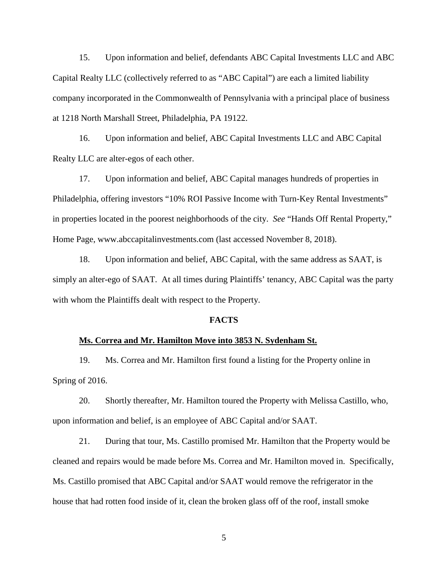15. Upon information and belief, defendants ABC Capital Investments LLC and ABC Capital Realty LLC (collectively referred to as "ABC Capital") are each a limited liability company incorporated in the Commonwealth of Pennsylvania with a principal place of business at 1218 North Marshall Street, Philadelphia, PA 19122.

16. Upon information and belief, ABC Capital Investments LLC and ABC Capital Realty LLC are alter-egos of each other.

17. Upon information and belief, ABC Capital manages hundreds of properties in Philadelphia, offering investors "10% ROI Passive Income with Turn-Key Rental Investments" in properties located in the poorest neighborhoods of the city. *See* "Hands Off Rental Property," Home Page, www.abccapitalinvestments.com (last accessed November 8, 2018).

18. Upon information and belief, ABC Capital, with the same address as SAAT, is simply an alter-ego of SAAT. At all times during Plaintiffs' tenancy, ABC Capital was the party with whom the Plaintiffs dealt with respect to the Property.

## **FACTS**

#### **Ms. Correa and Mr. Hamilton Move into 3853 N. Sydenham St.**

19. Ms. Correa and Mr. Hamilton first found a listing for the Property online in Spring of 2016.

20. Shortly thereafter, Mr. Hamilton toured the Property with Melissa Castillo, who, upon information and belief, is an employee of ABC Capital and/or SAAT.

21. During that tour, Ms. Castillo promised Mr. Hamilton that the Property would be cleaned and repairs would be made before Ms. Correa and Mr. Hamilton moved in. Specifically, Ms. Castillo promised that ABC Capital and/or SAAT would remove the refrigerator in the house that had rotten food inside of it, clean the broken glass off of the roof, install smoke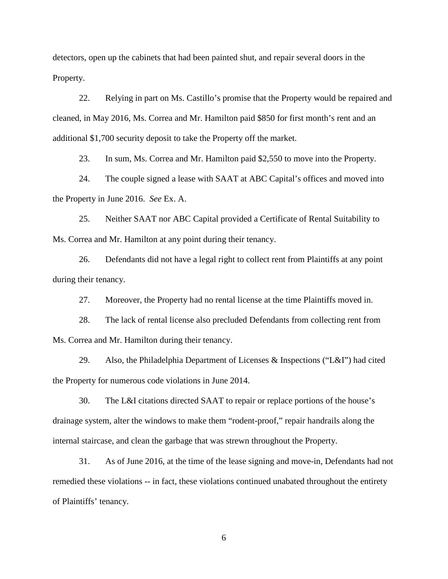detectors, open up the cabinets that had been painted shut, and repair several doors in the Property.

22. Relying in part on Ms. Castillo's promise that the Property would be repaired and cleaned, in May 2016, Ms. Correa and Mr. Hamilton paid \$850 for first month's rent and an additional \$1,700 security deposit to take the Property off the market.

23. In sum, Ms. Correa and Mr. Hamilton paid \$2,550 to move into the Property.

24. The couple signed a lease with SAAT at ABC Capital's offices and moved into the Property in June 2016. *See* Ex. A.

25. Neither SAAT nor ABC Capital provided a Certificate of Rental Suitability to Ms. Correa and Mr. Hamilton at any point during their tenancy.

26. Defendants did not have a legal right to collect rent from Plaintiffs at any point during their tenancy.

27. Moreover, the Property had no rental license at the time Plaintiffs moved in.

28. The lack of rental license also precluded Defendants from collecting rent from Ms. Correa and Mr. Hamilton during their tenancy.

29. Also, the Philadelphia Department of Licenses & Inspections ("L&I") had cited the Property for numerous code violations in June 2014.

30. The L&I citations directed SAAT to repair or replace portions of the house's drainage system, alter the windows to make them "rodent-proof," repair handrails along the internal staircase, and clean the garbage that was strewn throughout the Property.

31. As of June 2016, at the time of the lease signing and move-in, Defendants had not remedied these violations -- in fact, these violations continued unabated throughout the entirety of Plaintiffs' tenancy.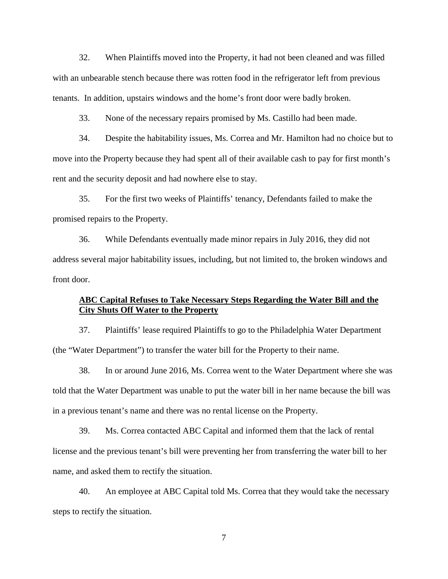32. When Plaintiffs moved into the Property, it had not been cleaned and was filled with an unbearable stench because there was rotten food in the refrigerator left from previous tenants. In addition, upstairs windows and the home's front door were badly broken.

33. None of the necessary repairs promised by Ms. Castillo had been made.

34. Despite the habitability issues, Ms. Correa and Mr. Hamilton had no choice but to move into the Property because they had spent all of their available cash to pay for first month's rent and the security deposit and had nowhere else to stay.

35. For the first two weeks of Plaintiffs' tenancy, Defendants failed to make the promised repairs to the Property.

36. While Defendants eventually made minor repairs in July 2016, they did not address several major habitability issues, including, but not limited to, the broken windows and front door.

## **ABC Capital Refuses to Take Necessary Steps Regarding the Water Bill and the City Shuts Off Water to the Property**

37. Plaintiffs' lease required Plaintiffs to go to the Philadelphia Water Department (the "Water Department") to transfer the water bill for the Property to their name.

38. In or around June 2016, Ms. Correa went to the Water Department where she was told that the Water Department was unable to put the water bill in her name because the bill was in a previous tenant's name and there was no rental license on the Property.

39. Ms. Correa contacted ABC Capital and informed them that the lack of rental license and the previous tenant's bill were preventing her from transferring the water bill to her name, and asked them to rectify the situation.

40. An employee at ABC Capital told Ms. Correa that they would take the necessary steps to rectify the situation.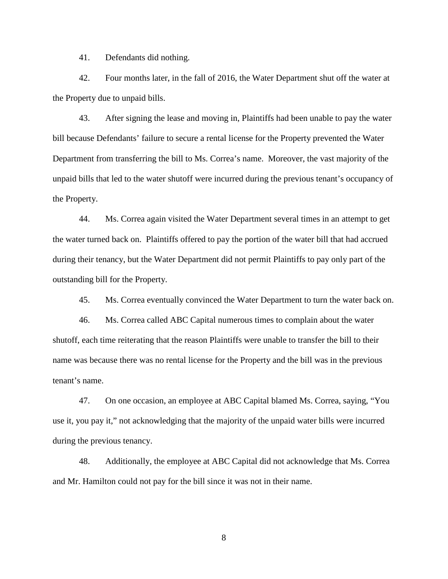41. Defendants did nothing.

42. Four months later, in the fall of 2016, the Water Department shut off the water at the Property due to unpaid bills.

43. After signing the lease and moving in, Plaintiffs had been unable to pay the water bill because Defendants' failure to secure a rental license for the Property prevented the Water Department from transferring the bill to Ms. Correa's name. Moreover, the vast majority of the unpaid bills that led to the water shutoff were incurred during the previous tenant's occupancy of the Property.

44. Ms. Correa again visited the Water Department several times in an attempt to get the water turned back on. Plaintiffs offered to pay the portion of the water bill that had accrued during their tenancy, but the Water Department did not permit Plaintiffs to pay only part of the outstanding bill for the Property.

45. Ms. Correa eventually convinced the Water Department to turn the water back on.

46. Ms. Correa called ABC Capital numerous times to complain about the water shutoff, each time reiterating that the reason Plaintiffs were unable to transfer the bill to their name was because there was no rental license for the Property and the bill was in the previous tenant's name.

47. On one occasion, an employee at ABC Capital blamed Ms. Correa, saying, "You use it, you pay it," not acknowledging that the majority of the unpaid water bills were incurred during the previous tenancy.

48. Additionally, the employee at ABC Capital did not acknowledge that Ms. Correa and Mr. Hamilton could not pay for the bill since it was not in their name.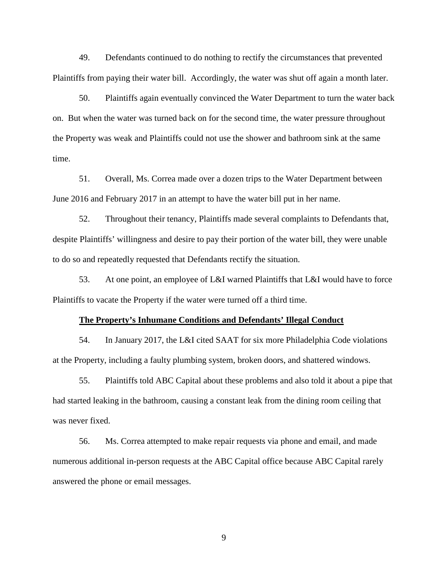49. Defendants continued to do nothing to rectify the circumstances that prevented Plaintiffs from paying their water bill. Accordingly, the water was shut off again a month later.

50. Plaintiffs again eventually convinced the Water Department to turn the water back on. But when the water was turned back on for the second time, the water pressure throughout the Property was weak and Plaintiffs could not use the shower and bathroom sink at the same time.

51. Overall, Ms. Correa made over a dozen trips to the Water Department between June 2016 and February 2017 in an attempt to have the water bill put in her name.

52. Throughout their tenancy, Plaintiffs made several complaints to Defendants that, despite Plaintiffs' willingness and desire to pay their portion of the water bill, they were unable to do so and repeatedly requested that Defendants rectify the situation.

53. At one point, an employee of L&I warned Plaintiffs that L&I would have to force Plaintiffs to vacate the Property if the water were turned off a third time.

#### **The Property's Inhumane Conditions and Defendants' Illegal Conduct**

54. In January 2017, the L&I cited SAAT for six more Philadelphia Code violations at the Property, including a faulty plumbing system, broken doors, and shattered windows.

55. Plaintiffs told ABC Capital about these problems and also told it about a pipe that had started leaking in the bathroom, causing a constant leak from the dining room ceiling that was never fixed.

56. Ms. Correa attempted to make repair requests via phone and email, and made numerous additional in-person requests at the ABC Capital office because ABC Capital rarely answered the phone or email messages.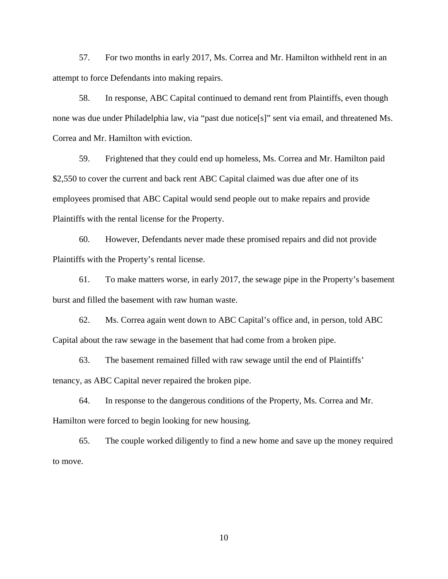57. For two months in early 2017, Ms. Correa and Mr. Hamilton withheld rent in an attempt to force Defendants into making repairs.

58. In response, ABC Capital continued to demand rent from Plaintiffs, even though none was due under Philadelphia law, via "past due notice[s]" sent via email, and threatened Ms. Correa and Mr. Hamilton with eviction.

59. Frightened that they could end up homeless, Ms. Correa and Mr. Hamilton paid \$2,550 to cover the current and back rent ABC Capital claimed was due after one of its employees promised that ABC Capital would send people out to make repairs and provide Plaintiffs with the rental license for the Property.

60. However, Defendants never made these promised repairs and did not provide Plaintiffs with the Property's rental license.

61. To make matters worse, in early 2017, the sewage pipe in the Property's basement burst and filled the basement with raw human waste.

62. Ms. Correa again went down to ABC Capital's office and, in person, told ABC Capital about the raw sewage in the basement that had come from a broken pipe.

63. The basement remained filled with raw sewage until the end of Plaintiffs' tenancy, as ABC Capital never repaired the broken pipe.

64. In response to the dangerous conditions of the Property, Ms. Correa and Mr. Hamilton were forced to begin looking for new housing.

65. The couple worked diligently to find a new home and save up the money required to move.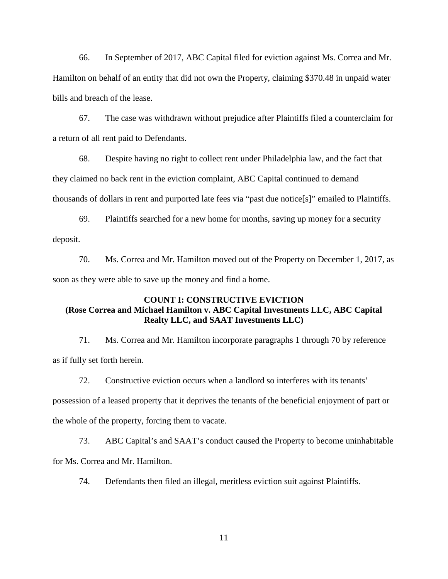66. In September of 2017, ABC Capital filed for eviction against Ms. Correa and Mr. Hamilton on behalf of an entity that did not own the Property, claiming \$370.48 in unpaid water bills and breach of the lease.

67. The case was withdrawn without prejudice after Plaintiffs filed a counterclaim for a return of all rent paid to Defendants.

68. Despite having no right to collect rent under Philadelphia law, and the fact that they claimed no back rent in the eviction complaint, ABC Capital continued to demand thousands of dollars in rent and purported late fees via "past due notice[s]" emailed to Plaintiffs.

69. Plaintiffs searched for a new home for months, saving up money for a security deposit.

70. Ms. Correa and Mr. Hamilton moved out of the Property on December 1, 2017, as soon as they were able to save up the money and find a home.

# **COUNT I: CONSTRUCTIVE EVICTION (Rose Correa and Michael Hamilton v. ABC Capital Investments LLC, ABC Capital Realty LLC, and SAAT Investments LLC)**

71. Ms. Correa and Mr. Hamilton incorporate paragraphs 1 through 70 by reference as if fully set forth herein.

72. Constructive eviction occurs when a landlord so interferes with its tenants' possession of a leased property that it deprives the tenants of the beneficial enjoyment of part or the whole of the property, forcing them to vacate.

73. ABC Capital's and SAAT's conduct caused the Property to become uninhabitable for Ms. Correa and Mr. Hamilton.

74. Defendants then filed an illegal, meritless eviction suit against Plaintiffs.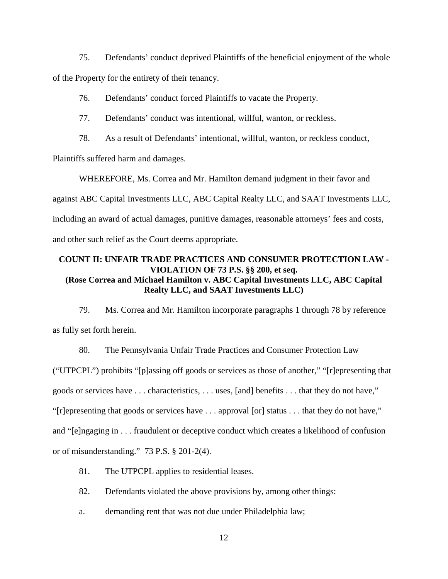75. Defendants' conduct deprived Plaintiffs of the beneficial enjoyment of the whole of the Property for the entirety of their tenancy.

76. Defendants' conduct forced Plaintiffs to vacate the Property.

77. Defendants' conduct was intentional, willful, wanton, or reckless.

78. As a result of Defendants' intentional, willful, wanton, or reckless conduct,

Plaintiffs suffered harm and damages.

WHEREFORE, Ms. Correa and Mr. Hamilton demand judgment in their favor and against ABC Capital Investments LLC, ABC Capital Realty LLC, and SAAT Investments LLC, including an award of actual damages, punitive damages, reasonable attorneys' fees and costs, and other such relief as the Court deems appropriate.

# **COUNT II: UNFAIR TRADE PRACTICES AND CONSUMER PROTECTION LAW - VIOLATION OF 73 P.S. §§ 200, et seq. (Rose Correa and Michael Hamilton v. ABC Capital Investments LLC, ABC Capital Realty LLC, and SAAT Investments LLC)**

79. Ms. Correa and Mr. Hamilton incorporate paragraphs 1 through 78 by reference as fully set forth herein.

80. The Pennsylvania Unfair Trade Practices and Consumer Protection Law ("UTPCPL") prohibits "[p]assing off goods or services as those of another," "[r]epresenting that goods or services have . . . characteristics, . . . uses, [and] benefits . . . that they do not have," "[r]epresenting that goods or services have . . . approval [or] status . . . that they do not have," and "[e]ngaging in . . . fraudulent or deceptive conduct which creates a likelihood of confusion or of misunderstanding." 73 P.S. § 201-2(4).

- 81. The UTPCPL applies to residential leases.
- 82. Defendants violated the above provisions by, among other things:
- a. demanding rent that was not due under Philadelphia law;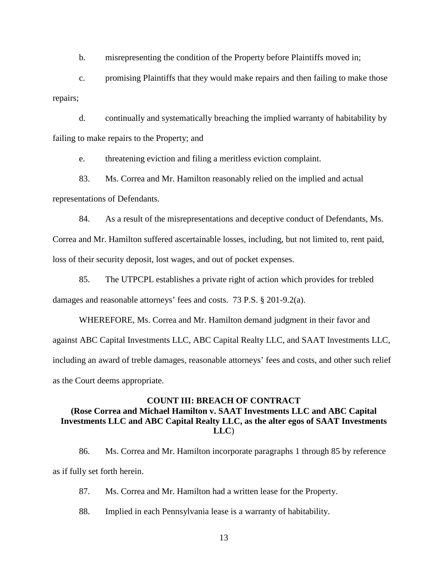b. misrepresenting the condition of the Property before Plaintiffs moved in;

c. promising Plaintiffs that they would make repairs and then failing to make those repairs;

d. continually and systematically breaching the implied warranty of habitability by failing to make repairs to the Property; and

e. threatening eviction and filing a meritless eviction complaint.

83. Ms. Correa and Mr. Hamilton reasonably relied on the implied and actual representations of Defendants.

84. As a result of the misrepresentations and deceptive conduct of Defendants, Ms.

Correa and Mr. Hamilton suffered ascertainable losses, including, but not limited to, rent paid, loss of their security deposit, lost wages, and out of pocket expenses.

85. The UTPCPL establishes a private right of action which provides for trebled damages and reasonable attorneys' fees and costs. 73 P.S. § 201-9.2(a).

WHEREFORE, Ms. Correa and Mr. Hamilton demand judgment in their favor and against ABC Capital Investments LLC, ABC Capital Realty LLC, and SAAT Investments LLC, including an award of treble damages, reasonable attorneys' fees and costs, and other such relief as the Court deems appropriate.

# **COUNT III: BREACH OF CONTRACT (Rose Correa and Michael Hamilton v. SAAT Investments LLC and ABC Capital Investments LLC and ABC Capital Realty LLC, as the alter egos of SAAT Investments LLC**)

86. Ms. Correa and Mr. Hamilton incorporate paragraphs 1 through 85 by reference as if fully set forth herein.

87. Ms. Correa and Mr. Hamilton had a written lease for the Property.

88. Implied in each Pennsylvania lease is a warranty of habitability.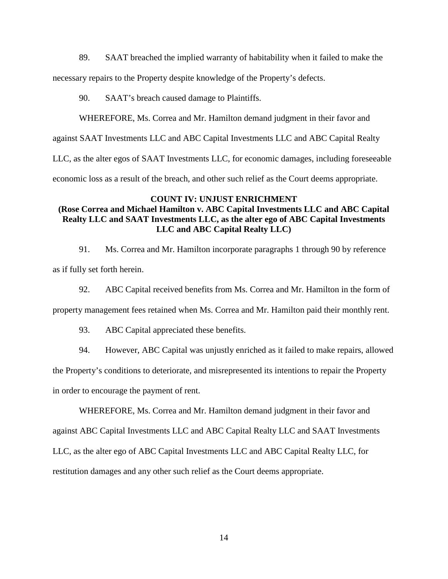89. SAAT breached the implied warranty of habitability when it failed to make the

necessary repairs to the Property despite knowledge of the Property's defects.

90. SAAT's breach caused damage to Plaintiffs.

WHEREFORE, Ms. Correa and Mr. Hamilton demand judgment in their favor and

against SAAT Investments LLC and ABC Capital Investments LLC and ABC Capital Realty

LLC, as the alter egos of SAAT Investments LLC, for economic damages, including foreseeable

economic loss as a result of the breach, and other such relief as the Court deems appropriate.

## **COUNT IV: UNJUST ENRICHMENT**

# **(Rose Correa and Michael Hamilton v. ABC Capital Investments LLC and ABC Capital Realty LLC and SAAT Investments LLC, as the alter ego of ABC Capital Investments LLC and ABC Capital Realty LLC)**

91. Ms. Correa and Mr. Hamilton incorporate paragraphs 1 through 90 by reference as if fully set forth herein.

92. ABC Capital received benefits from Ms. Correa and Mr. Hamilton in the form of

property management fees retained when Ms. Correa and Mr. Hamilton paid their monthly rent.

93. ABC Capital appreciated these benefits.

94. However, ABC Capital was unjustly enriched as it failed to make repairs, allowed

the Property's conditions to deteriorate, and misrepresented its intentions to repair the Property in order to encourage the payment of rent.

WHEREFORE, Ms. Correa and Mr. Hamilton demand judgment in their favor and against ABC Capital Investments LLC and ABC Capital Realty LLC and SAAT Investments LLC, as the alter ego of ABC Capital Investments LLC and ABC Capital Realty LLC, for restitution damages and any other such relief as the Court deems appropriate.